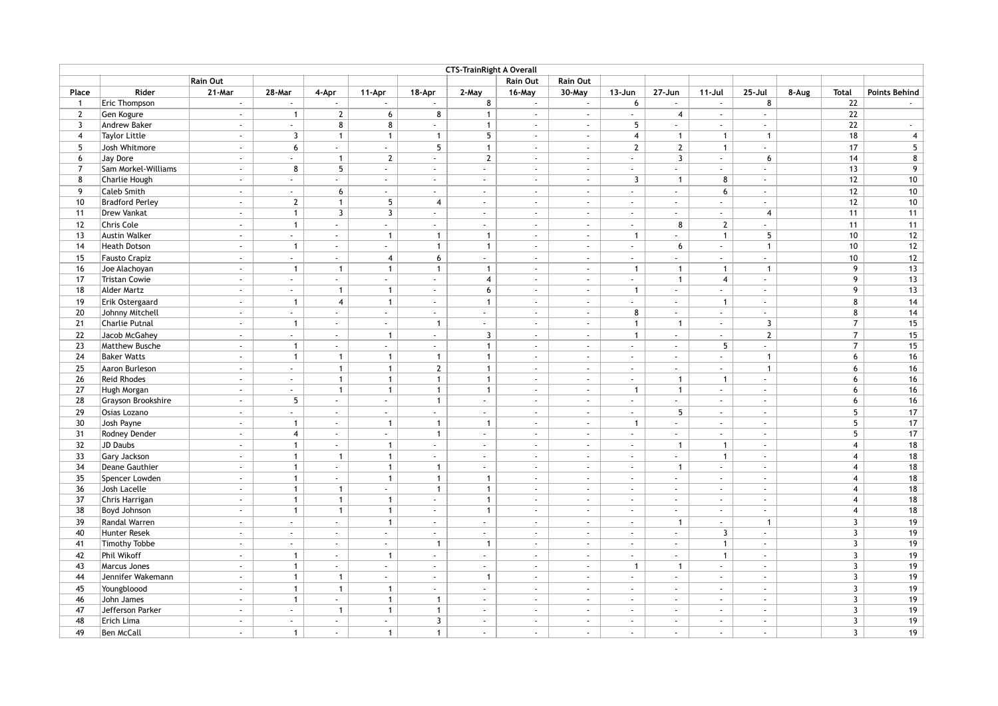| <b>CTS-TrainRight A Overall</b> |                        |               |                     |                             |                  |                             |                             |                           |                 |                |                             |                             |                             |       |                 |                      |
|---------------------------------|------------------------|---------------|---------------------|-----------------------------|------------------|-----------------------------|-----------------------------|---------------------------|-----------------|----------------|-----------------------------|-----------------------------|-----------------------------|-------|-----------------|----------------------|
|                                 |                        | Rain Out      |                     |                             |                  |                             |                             | Rain Out                  | <b>Rain Out</b> |                |                             |                             |                             |       |                 |                      |
| Place                           | Rider                  | 21-Mar        | 28-Mar              | 4-Apr                       | 11-Apr           | 18-Apr                      | 2-May                       | 16-May                    | 30-May          | $13 - Jun$     | 27-Jun                      | $11 -$ Jul                  | 25-Jul                      | 8-Aug | <b>Total</b>    | <b>Points Behind</b> |
| $\mathbf{1}$                    | Eric Thompson          | $\sim$        | $\sim$              |                             | $\sim$           |                             | 8                           | $\sim$                    | $\sim$          | 6              | $\sim$                      | $\sim$                      | 8                           |       | 22              |                      |
| $\overline{2}$                  | Gen Kogure             | $\omega$      | $\mathbf{1}$        | $\mathbf{2}$                | 6                | 8                           | $\mathbf{1}$                | $\sim$                    | $\sim$          | $\sim$         | $\overline{4}$              | $\omega$                    | $\omega$                    |       | 22              |                      |
| $\overline{3}$                  | Andrew Baker           | $\omega$      | $\sim$              | 8                           | 8                | $\sim$                      | $\mathbf{1}$                | $\sim$                    | $\sim$          | 5              | $\sim$                      | $\sim$                      | $\sim$                      |       | 22              | $\sim$               |
| $\overline{4}$                  | <b>Taylor Little</b>   | $\sim$        | 3                   | $\mathbf{1}$                | $\mathbf{1}$     | $\mathbf{1}$                | $5\overline{)}$             | $\sim$                    | $\sim$          | $\overline{4}$ | $\mathbf{1}$                | $\mathbf{1}$                | $\mathbf{1}$                |       | 18              | $\overline{4}$       |
| 5                               | Josh Whitmore          | $\sim$        | 6                   | $\omega$                    | $\omega$         | 5 <sup>5</sup>              | $\mathbf{1}$                | $\sim$                    | $\sim$          | $\overline{2}$ | $\overline{2}$              | $\mathbf{1}$                | $\sim$                      |       | 17              | $5\overline{)}$      |
| 6                               | Jay Dore               | $\omega$      | u.                  | $\mathbf{1}$                | $\mathbf{2}$     | $\sim$                      | $\overline{2}$              | $\mathbb{Z}^{\mathbb{Z}}$ | $\omega$        | $\sim$         | $\overline{3}$              | $\omega$                    | 6                           |       | 14              | 8                    |
| $\overline{7}$                  | Sam Morkel-Williams    | $\omega$      | 8                   | 5                           | $\omega$         | $\omega$                    | $\mathcal{L}$               | $\mathbb{Z}^{\mathbb{Z}}$ | $\omega$        | $\sim$         | $\omega$                    | $\omega$                    | $\sim$                      |       | 13              | 9                    |
| 8                               | Charlie Hough          | $\sim$        | $\omega$            | $\sim$                      | $\sim$           | $\omega$                    | $\omega$                    | $\sim$                    | $\omega$        | $\overline{3}$ | $\overline{1}$              | 8                           | $\omega$                    |       | 12              | 10                   |
| 9                               | Caleb Smith            | $\omega$      | $\sim$              | $6\overline{6}$             | $\sim$           | $\sim$                      | $\sim$                      | $\sim$                    | $\omega$        | $\sim$         | $\omega$                    | 6                           | $\omega$                    |       | 12              | $10$                 |
| 10                              | <b>Bradford Perley</b> | $\sim$        | $\overline{2}$      | $\mathbf{1}$                | $5\phantom{.0}$  | $\overline{4}$              | $\sim$                      | $\sim$                    | $\sim$          | $\sim$         | $\blacksquare$              | $\sim$                      | $\sim$                      |       | 12              | 10                   |
| 11                              | Drew Vankat            | $\sim$        | $\mathbf{1}$        | $\mathbf{3}$                | $\overline{3}$   | $\sim$                      | $\omega$                    | $\sim$                    | $\sim$          | $\sim$         | $\omega$                    | $\omega$                    | $\overline{4}$              |       | 11              | 11                   |
| 12                              | Chris Cole             | $\sim$        | $\mathbf{1}$        | $\sim$                      | $\sim$           | $\sim$                      | $\omega$                    | $\sim$                    | $\sim$          | $\sim$         | 8                           | $\overline{2}$              | $\sim$                      |       | 11              | 11                   |
| 13                              | <b>Austin Walker</b>   | $\sim$        | $\mathcal{L}^{\pm}$ | $\sim$                      | $\overline{1}$   | $\mathbf{1}$                | $\mathbf{1}$                | $\sim$                    | $\omega$        | $\overline{1}$ | $\mathbf{r}$                | $\mathbf{1}$                | 5                           |       | 10              | 12                   |
| 14                              | <b>Heath Dotson</b>    | $\omega$      | $\overline{1}$      | $\omega$                    | $\sim$           | $\mathbf{1}$                | $\mathbf{1}$                | $\sim$                    | $\omega$        | $\sim$         | 6                           | $\omega_{\rm c}$            | $\mathbf{1}$                |       | 10 <sup>1</sup> | 12                   |
| 15                              | <b>Fausto Crapiz</b>   | $\sim$        | u.                  | $\mathbf{r}$                | $\overline{4}$   | $6\overline{6}$             | $\mathbb{Z}^{\mathbb{Z}}$   | $\mathbb{Z}^{\mathbb{Z}}$ | $\omega$        | $\omega$       | ä,                          | $\omega$                    | ÷.                          |       | 10 <sup>1</sup> | 12                   |
| 16                              | Joe Alachoyan          | $\sim$        | $\mathbf{1}$        | $\overline{1}$              | $\mathbf{1}$     | $\mathbf{1}$                | $\mathbf{1}$                | $\sim$                    | $\sim$          | $\mathbf{1}$   | $\overline{1}$              | $\mathbf{1}$                | $\mathbf{1}$                |       | 9               | 13                   |
| 17                              | <b>Tristan Cowie</b>   | $\sim$        | $\sim$              | $\sim$                      | $\sim$           | $\omega$                    | $\overline{4}$              | $\sim$                    | $\sim$          | $\sim$         | $\overline{1}$              | $\overline{4}$              | $\sim$                      |       | 9               | 13                   |
| 18                              | Alder Martz            | $\omega$      | $\sim$              | $\mathbf{1}$                | $\mathbf{1}$     | $\mathcal{L}_{\mathcal{C}}$ | 6                           | $\sim$                    | $\omega$        | $\mathbf{1}$   | $\omega$                    | $\omega$                    | $\omega$                    |       | 9               | 13                   |
| 19                              | Erik Ostergaard        | $\sim$        | $\mathbf{1}$        | $\overline{4}$              | $\overline{1}$   | $\sim$                      | $\mathbf{1}$                | $\sim$                    | $\sim$          | $\sim$         | $\sim$                      | $\mathbf{1}$                | $\sim$                      |       | 8               | 14                   |
| 20                              | Johnny Mitchell        | $\sim$        | $\sim$              | $\sim$                      | $\omega$         | $\sim$                      | $\mathcal{L}$               | $\sim$                    | $\sim$          | 8              | $\omega$                    | $\omega_{\rm{eff}}$         | $\sim$                      |       | 8               | 14                   |
| 21                              | Charlie Putnal         | $\omega$      | $\mathbf{1}$        | $\mathcal{L}_{\mathcal{A}}$ | $\sim$           | $\overline{1}$              | $\sim$                      | $\sim$                    | $\sim$          | $\mathbf{1}$   | $\overline{1}$              | $\omega$                    | $\overline{3}$              |       | $\overline{7}$  | 15                   |
| 22                              | Jacob McGahey          | $\omega$      | ä,                  | $\omega$                    | $\overline{1}$   | $\mathbb{Z}^{\mathbb{Z}}$   | $\overline{3}$              | $\mathbb{Z}^2$            | $\omega$        | $\mathbf{1}$   | $\mathcal{L}$               | $\omega$                    | $\overline{2}$              |       | $\overline{7}$  | 15                   |
| 23                              | <b>Matthew Busche</b>  | $\omega$      | $\mathbf{1}$        | $\sim$                      | $\sim$           | $\sim$                      | $\mathbf{1}$                | $\sim$                    | $\sim$          | $\sim$         | $\omega$                    | 5                           | $\mathcal{L}^{\pm}$         |       | $\overline{7}$  | 15                   |
| 24                              | <b>Baker Watts</b>     | $\omega$      | $\mathbf{1}$        | $\mathbf{1}$                | $\overline{1}$   | $\mathbf{1}$                | $\mathbf{1}$                | $\sim$                    | $\sim$          | $\sim$         | $\blacksquare$              | $\sim$                      | $\mathbf{1}$                |       | 6               | 16                   |
| 25                              | Aaron Burleson         | $\sim$        | $\sim$              | $\mathbf{1}$                | $\mathbf{1}$     | $\mathbf{2}$                | $\mathbf{1}$                | $\sim$                    | $\omega$        | $\sim$         | $\omega$                    | $\omega$ .                  | $\mathbf{1}$                |       | 6               | 16                   |
| 26                              | Reid Rhodes            | $\sim$        | $\sim$              | $\mathbf{1}$                | $\mathbf{1}$     | $\mathbf{1}$                | $\mathbf{1}$                | $\sim$                    | $\sim$          | $\sim$         | $\overline{1}$              | $\mathbf{1}$                | $\sim$                      |       | 6               | 16                   |
| 27                              | Hugh Morgan            | $\sim$        | $\omega$            | $\mathbf{1}$                | $\mathbf{1}$     | $\mathbf{1}$                | $\mathbf{1}$                | $\sim$                    | $\sim$          | $\mathbf{1}$   | $\mathbf{1}$                | $\sim$                      | $\mathcal{L}_{\mathcal{A}}$ |       | 6               | 16                   |
| 28                              | Grayson Brookshire     | $\sim$        | 5                   | $\sim$                      | $\sim$           | $\mathbf{1}$                | $\sim$                      | $\sim$                    | $\sim$          | $\sim$         | $\sim$                      | $\sim$                      | $\sim$                      |       | 6               | 16                   |
| 29                              | Osias Lozano           | $\omega$      | ÷.                  | $\mathcal{L}$               | $\mathcal{L}$    |                             | $\mathcal{L}^{\mathcal{L}}$ | $\mathbb{Z}^{\mathbb{Z}}$ | $\omega$        | $\mathbf{r}$   | 5 <sup>5</sup>              | $\omega$                    | $\omega$                    |       | 5               | 17                   |
| 30                              | Josh Payne             | $\omega$      | $\mathbf{1}$        | $\omega$                    | $\overline{1}$   | $\mathbf{1}$                | $\overline{1}$              | $\sim$                    | $\omega$        | $\overline{1}$ | $\omega$                    | $\mathcal{L}^{\mathcal{L}}$ | $\omega$                    |       | 5 <sup>1</sup>  | 17                   |
| 31                              | Rodney Dender          | $\omega$      | $\overline{4}$      | $\sim$                      | $\sim$           | $\mathbf{1}$                | $\omega$                    | $\sim$                    | $\sim$          | $\sim$         | $\omega$                    | $\omega_{\rm c}$            | $\sim$                      |       | 5 <sup>7</sup>  | 17                   |
| 32                              | JD Daubs               | $\omega$      | $\mathbf{1}$        | $\sim$                      | $\mathbf{1}$     | $\sim$                      | $\sim$                      | $\sim$                    | $\omega$        | $\sim$         | $\overline{1}$              | $\mathbf{1}$                | $\omega$                    |       | $\overline{4}$  | 18                   |
| 33                              | Gary Jackson           | $\omega$      | $\mathbf{1}$        | $\overline{1}$              | $\mathbf{1}$     | $\sim$                      | $\sim$                      | $\sim$                    | $\sim$          | $\sim$         | $\blacksquare$              | $\mathbf{1}$                | $\omega$                    |       | $\overline{4}$  | 18                   |
| 34                              | Deane Gauthier         | $\sim$        | $\mathbf{1}$        | $\sim$                      | $\mathbf{1}$     | $\mathbf{1}$                | $\sim$                      | $\sim$                    | $\sim$          | $\sim$         | $\mathbf{1}$                | $\sim$                      | $\sim$                      |       | $\overline{4}$  | 18                   |
| 35                              | Spencer Lowden         | $\omega$      | $\mathbf{1}$        | $\sim$                      | $\overline{1}$   | $\mathbf{1}$                | $\mathbf{1}$                | $\sim$                    | $\sim$          | $\sim$         | $\sim$                      | $\omega$                    | $\omega$                    |       | $\overline{4}$  | 18                   |
| 36                              | Josh Lacelle           | $\omega$      | $\mathbf{1}$        | $\mathbf{1}$                | $\sim$           | $\mathbf{1}$                | $\mathbf{1}$                | $\omega$                  | $\sim$          | $\sim$         | $\omega$                    | $\sim$                      | $\omega$                    |       | $\overline{4}$  | 18                   |
| 37                              | Chris Harrigan         | $\omega$      | $\mathbf{1}$        | $\mathbf{1}$                | $\overline{1}$   | $\omega$                    | $\mathbf{1}$                | $\mathbb{Z}^{\mathbb{Z}}$ | $\omega$        | $\sim$         | $\mathbf{r}$                | $\omega_{\rm c}$            | $\omega$                    |       | $\overline{4}$  | 18                   |
| 38                              | Boyd Johnson           | $\sim$        | $\mathbf{1}$        | $\mathbf{1}$                | $\mathbf{1}$     | $\sim$                      | $\mathbf{1}$                | $\sim$                    | $\omega$        | $\sim$         | $\omega$                    | $\omega$ .                  | $\omega$                    |       | $\overline{4}$  | 18                   |
| 39                              | Randal Warren          | $\Delta \phi$ | $\sim$              | $\sim$                      | $\overline{1}$   | $\sim$                      | $\omega$ .                  | $\sim$                    | $\sim$          | in 19          | $\overline{1}$              | $\sim$                      | $\mathbf{1}$                |       | $\overline{3}$  | 19                   |
| 40                              | <b>Hunter Resek</b>    | $\omega$      | $\omega$            | $\sim$                      | $\sim$           | $\omega$                    | $\omega$                    | $\sim$                    | $\sim$          | $\sim$         | $\sim$                      | $\overline{3}$              | $\sim$                      |       | $\mathbf{3}$    | 19                   |
| 41                              | <b>Timothy Tobbe</b>   | $\sim$        | $\sim$              | $\sim$                      | $\sim$           | $\mathbf{1}$                | $\mathbf{1}$                | $\sim$                    | $\sim$          | $\sim$         | $\sim$                      | $\mathbf{1}$                | $\omega$                    |       | $\mathbf{3}$    | 19                   |
| 42                              | Phil Wikoff            | $\sim$        | $\mathbf{1}$        | $\sim$                      | $\overline{1}$   | $\sim$                      | $\sim$                      | $\sim$                    | $\sim$          | $\sim$         | $\mathcal{L}_{\mathcal{A}}$ | $\mathbf{1}$                | $\sim$                      |       | $\overline{3}$  | 19                   |
| 43                              | Marcus Jones           | $\omega$      | $\mathbf{1}$        | $\sim$                      | $\sim$           | $\sim$                      | $\omega$                    | $\omega$ .                | $\sim$          | $\overline{1}$ | $\overline{1}$              | $\omega_{\rm c}$            | $\omega$                    |       | $\overline{3}$  | 19                   |
| 44                              | Jennifer Wakemann      | $\omega$      | $\mathbf{1}$        | $\mathbf{1}$                | $\omega$         | $\omega$                    | $\mathbf{1}$                | $\mathbb{Z}^{\mathbb{Z}}$ | $\omega$        | $\sim$         | $\omega$                    | $\omega$                    | $\omega$                    |       | $\mathbf{3}$    | 19                   |
| 45                              | Youngbloood            | $\omega$ .    | $\mathbf{1}$        | $\mathbf{1}$                | $\mathbf{1}$     | $\sim$                      | $\mathbb{Z}^{\mathbb{Z}}$   | $\mathbb{Z}^{\mathbb{Z}}$ | $\sim$          | $\sim$         | $\mathbf{r}$                | $\sim$                      | $\omega$                    |       | $\overline{3}$  | 19                   |
| 46                              | John James             | $\Delta \phi$ | $\mathbf{1}$        | $\sim$                      | $\overline{1}$   | $\mathbf{1}$                | $\sim$                      | $\sim$                    | $\sim$          | in 19          | $\sim$                      | $\sim$                      | $\omega$                    |       | $\overline{3}$  | 19                   |
| 47                              | Jefferson Parker       | $\sim$        | $\sim$              | $\mathbf{1}$                | $\overline{1}$   | $\mathbf{1}$                | $\sim$                      | $\sim$                    | $\sim$          | $\sim$         | $\sim$                      | $\sim$                      | $\sim$                      |       | $\overline{3}$  | 19                   |
| 48                              | Erich Lima             | $\sim$        | $\omega$            | $\sim$                      | $\omega_{\rm c}$ | $\mathbf{3}$                | $\omega$                    | $\sim$                    | $\sim$          | $\sim$         | $\sim$                      | $\sim$                      | $\sim$                      |       | $\mathbf{3}$    | 19                   |
| 49                              | <b>Ben McCall</b>      | $\sim$        | $\mathbf{1}$        | $\sim$                      | $\mathbf{1}$     | $\mathbf{1}$                | $\sim$                      | $\sim$                    | $\sim$          | $\sim$         | $\sim$                      | $\sim$                      | $\sim$                      |       | $\overline{3}$  | 19                   |